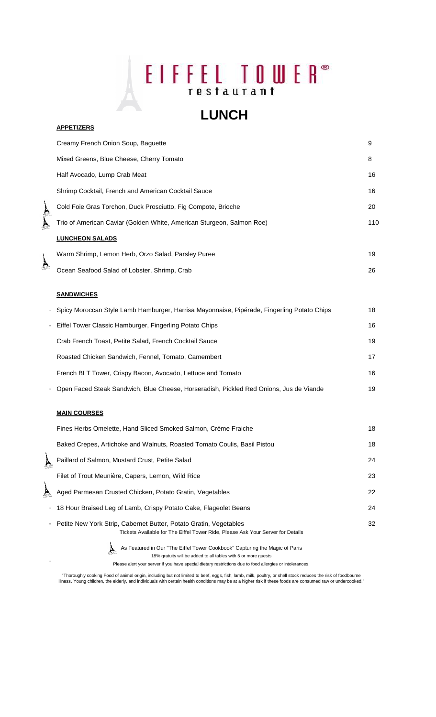## EIFFEL TOWER® restaurant

## **LUNCH**

|                     | Creamy French Onion Soup, Baguette                                    | 9   |
|---------------------|-----------------------------------------------------------------------|-----|
|                     | Mixed Greens, Blue Cheese, Cherry Tomato                              | 8   |
|                     | Half Avocado, Lump Crab Meat                                          | 16  |
|                     | Shrimp Cocktail, French and American Cocktail Sauce                   | 16  |
|                     | Cold Foie Gras Torchon, Duck Prosciutto, Fig Compote, Brioche         | 20  |
|                     | Trio of American Caviar (Golden White, American Sturgeon, Salmon Roe) | 110 |
|                     | <b>LUNCHEON SALADS</b>                                                |     |
|                     | Warm Shrimp, Lemon Herb, Orzo Salad, Parsley Puree                    | 19  |
| <b>COLUMN TABLE</b> | Ocean Seafood Salad of Lobster, Shrimp, Crab                          | 26  |
|                     |                                                                       |     |
|                     | <b>SANDWICHES</b>                                                     |     |
|                     |                                                                       |     |

\* Spicy Moroccan Style Lamb Hamburger, Harrisa Mayonnaise, Pipérade, Fingerling Potato Chips 18 \* Eiffel Tower Classic Hamburger, Fingerling Potato Chips 16 Crab French Toast, Petite Salad, French Cocktail Sauce 19 19 Roasted Chicken Sandwich, Fennel, Tomato, Camembert 17 17 French BLT Tower, Crispy Bacon, Avocado, Lettuce and Tomato 16 \* Open Faced Steak Sandwich, Blue Cheese, Horseradish, Pickled Red Onions, Jus de Viande 19

### **MAIN COURSES**

\*

**APPETIZERS**

| Fines Herbs Omelette, Hand Sliced Smoked Salmon, Crème Fraiche                                                                                         | 18 |
|--------------------------------------------------------------------------------------------------------------------------------------------------------|----|
| Baked Crepes, Artichoke and Walnuts, Roasted Tomato Coulis, Basil Pistou                                                                               | 18 |
| Paillard of Salmon, Mustard Crust, Petite Salad                                                                                                        | 24 |
| Filet of Trout Meunière, Capers, Lemon, Wild Rice                                                                                                      | 23 |
| Aged Parmesan Crusted Chicken, Potato Gratin, Vegetables                                                                                               | 22 |
| • 18 Hour Braised Leg of Lamb, Crispy Potato Cake, Flageolet Beans                                                                                     | 24 |
| • Petite New York Strip, Cabernet Butter, Potato Gratin, Vegetables<br>Tickets Available for The Eiffel Tower Ride, Please Ask Your Server for Details | 32 |
|                                                                                                                                                        |    |

As Featured in Our "The Eiffel Tower Cookbook" Capturing the Magic of Paris 18% gratuity will be added to all tables with 5 or more guests

Please alert your server if you have special dietary restrictions due to food allergies or intolerances.

"Thoroughly cooking Food of animal origin, including but not limited to beef, eggs, fish, lamb, milk, poultry, or shell stock reduces the risk of foodbourne<br>"Ilness. Young children, the elderly, and individuals with certai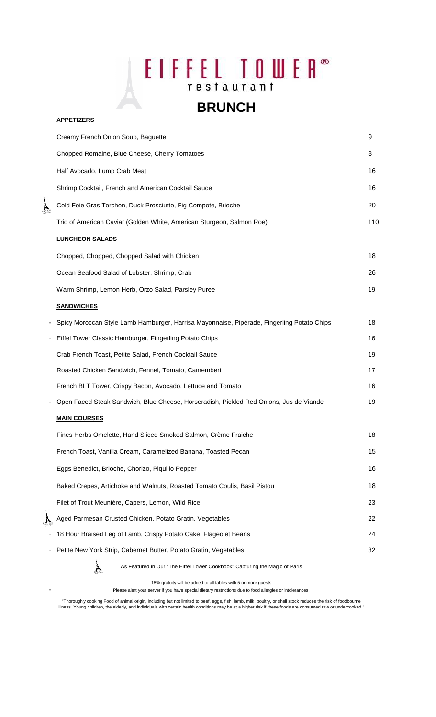## EIFFEL TOWER<sup>®</sup>

### **BRUNCH**

### **APPETIZERS**

|                                           | Creamy French Onion Soup, Baguette                                                         | 9   |
|-------------------------------------------|--------------------------------------------------------------------------------------------|-----|
|                                           | Chopped Romaine, Blue Cheese, Cherry Tomatoes                                              | 8   |
|                                           | Half Avocado, Lump Crab Meat                                                               | 16  |
|                                           | Shrimp Cocktail, French and American Cocktail Sauce                                        | 16  |
| $\sum_{\beta\in\mathcal{P}^{\text{min}}}$ | Cold Foie Gras Torchon, Duck Prosciutto, Fig Compote, Brioche                              | 20  |
|                                           | Trio of American Caviar (Golden White, American Sturgeon, Salmon Roe)                      | 110 |
|                                           | <b>LUNCHEON SALADS</b>                                                                     |     |
|                                           | Chopped, Chopped, Chopped Salad with Chicken                                               | 18  |
|                                           | Ocean Seafood Salad of Lobster, Shrimp, Crab                                               | 26  |
|                                           | Warm Shrimp, Lemon Herb, Orzo Salad, Parsley Puree                                         | 19  |
|                                           | <b>SANDWICHES</b>                                                                          |     |
|                                           | Spicy Moroccan Style Lamb Hamburger, Harrisa Mayonnaise, Pipérade, Fingerling Potato Chips | 18  |
|                                           | Eiffel Tower Classic Hamburger, Fingerling Potato Chips                                    | 16  |
|                                           | Crab French Toast, Petite Salad, French Cocktail Sauce                                     | 19  |
|                                           | Roasted Chicken Sandwich, Fennel, Tomato, Camembert                                        | 17  |
|                                           | French BLT Tower, Crispy Bacon, Avocado, Lettuce and Tomato                                | 16  |
|                                           | Open Faced Steak Sandwich, Blue Cheese, Horseradish, Pickled Red Onions, Jus de Viande     | 19  |
|                                           | <b>MAIN COURSES</b>                                                                        |     |
|                                           | Fines Herbs Omelette, Hand Sliced Smoked Salmon, Crème Fraiche                             | 18  |
|                                           | French Toast, Vanilla Cream, Caramelized Banana, Toasted Pecan                             | 15  |
|                                           | Eggs Benedict, Brioche, Chorizo, Piquillo Pepper                                           | 16  |
|                                           | Baked Crepes, Artichoke and Walnuts, Roasted Tomato Coulis, Basil Pistou                   | 18  |
|                                           | Filet of Trout Meunière, Capers, Lemon, Wild Rice                                          | 23  |
|                                           | Aged Parmesan Crusted Chicken, Potato Gratin, Vegetables                                   | 22  |
|                                           | 18 Hour Braised Leg of Lamb, Crispy Potato Cake, Flageolet Beans                           | 24  |
|                                           | Petite New York Strip, Cabernet Butter, Potato Gratin, Vegetables                          | 32  |
|                                           | As Featured in Our "The Eiffel Tower Cookbook" Capturing the Magic of Paris                |     |

18% gratuity will be added to all tables with 5 or more guests

\* Please alert your server if you have special dietary restrictions due to food allergies or intolerances.

"Thoroughly cooking Food of animal origin, including but not limited to beef, eggs, fish, lamb, milk, poultry, or shell stock reduces the risk of foodbourne<br>"Ilness. Young children, the elderly, and individuals with certai